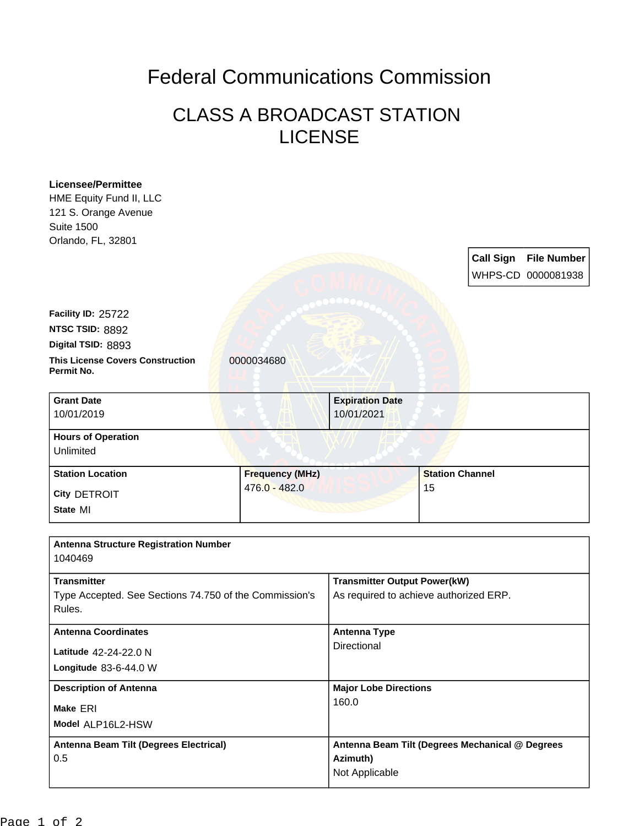## Federal Communications Commission

## CLASS A BROADCAST STATION LICENSE

| Licensee/Permittee<br>HME Equity Fund II, LLC<br>121 S. Orange Avenue<br><b>Suite 1500</b><br>Orlando, FL, 32801 |                        |                                                                               |                        |  |                                             |
|------------------------------------------------------------------------------------------------------------------|------------------------|-------------------------------------------------------------------------------|------------------------|--|---------------------------------------------|
|                                                                                                                  |                        |                                                                               |                        |  | Call Sign File Number<br>WHPS-CD 0000081938 |
| Facility ID: 25722                                                                                               |                        |                                                                               |                        |  |                                             |
| NTSC TSID: 8892                                                                                                  |                        |                                                                               |                        |  |                                             |
| Digital TSID: 8893                                                                                               |                        |                                                                               |                        |  |                                             |
| <b>This License Covers Construction</b><br>Permit No.                                                            | 0000034680             |                                                                               |                        |  |                                             |
| <b>Grant Date</b>                                                                                                |                        | <b>Expiration Date</b>                                                        |                        |  |                                             |
| 10/01/2019                                                                                                       |                        | 10/01/2021                                                                    |                        |  |                                             |
| <b>Hours of Operation</b><br>Unlimited                                                                           |                        |                                                                               |                        |  |                                             |
| <b>Station Location</b>                                                                                          | <b>Frequency (MHz)</b> |                                                                               | <b>Station Channel</b> |  |                                             |
| City DETROIT                                                                                                     | $476.0 - 482.0$        |                                                                               | 15                     |  |                                             |
| State MI                                                                                                         |                        |                                                                               |                        |  |                                             |
| <b>Antenna Structure Registration Number</b><br>1040469                                                          |                        |                                                                               |                        |  |                                             |
| <b>Transmitter</b><br>Type Accepted. See Sections 74.750 of the Commission's<br>Rules.                           |                        | <b>Transmitter Output Power(kW)</b><br>As required to achieve authorized ERP. |                        |  |                                             |
| <b>Antenna Coordinates</b>                                                                                       |                        | <b>Antenna Type</b>                                                           |                        |  |                                             |
| Latitude 42-24-22.0 N                                                                                            |                        | Directional                                                                   |                        |  |                                             |
| Longitude 83-6-44.0 W                                                                                            |                        |                                                                               |                        |  |                                             |
| <b>Description of Antenna</b>                                                                                    |                        | <b>Major Lobe Directions</b>                                                  |                        |  |                                             |
| Make ERI                                                                                                         |                        | 160.0                                                                         |                        |  |                                             |
| Model ALP16L2-HSW                                                                                                |                        |                                                                               |                        |  |                                             |
| Antenna Beam Tilt (Degrees Electrical)                                                                           |                        | Antenna Beam Tilt (Degrees Mechanical @ Degrees                               |                        |  |                                             |
| 0.5                                                                                                              |                        | Azimuth)                                                                      |                        |  |                                             |
|                                                                                                                  |                        | Not Applicable                                                                |                        |  |                                             |